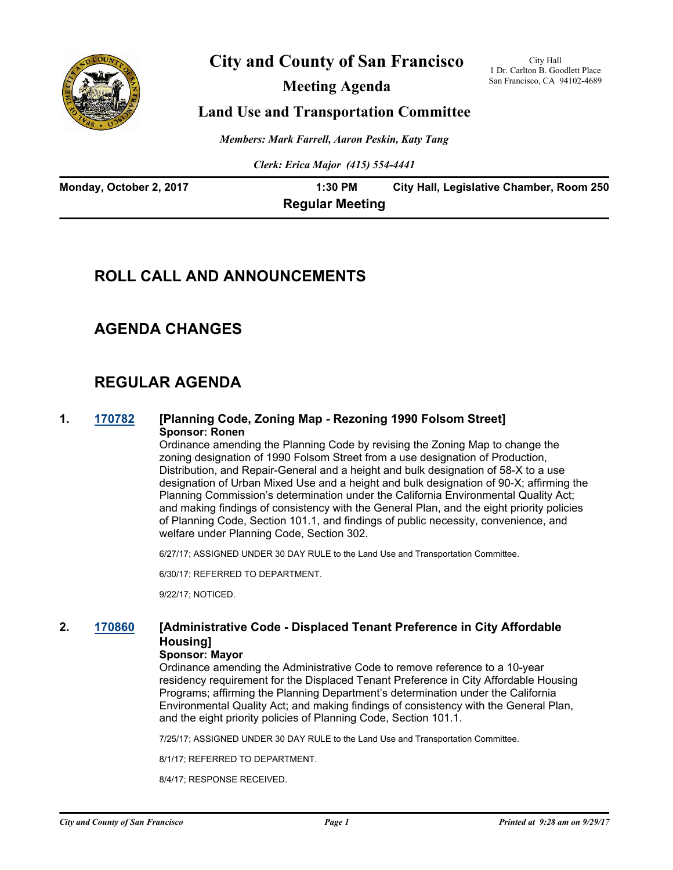

# **City and County of San Francisco**

**Meeting Agenda**

City Hall 1 Dr. Carlton B. Goodlett Place San Francisco, CA 94102-4689

### **Land Use and Transportation Committee**

*Members: Mark Farrell, Aaron Peskin, Katy Tang*

*Clerk: Erica Major (415) 554-4441*

| Monday, October 2, 2017 | 1:30 PM                | City Hall, Legislative Chamber, Room 250 |
|-------------------------|------------------------|------------------------------------------|
|                         | <b>Regular Meeting</b> |                                          |

### **ROLL CALL AND ANNOUNCEMENTS**

### **AGENDA CHANGES**

# **REGULAR AGENDA**

#### **1. [170782](http://sfgov.legistar.com/gateway.aspx?m=l&id=32328) [Planning Code, Zoning Map - Rezoning 1990 Folsom Street] Sponsor: Ronen**

Ordinance amending the Planning Code by revising the Zoning Map to change the zoning designation of 1990 Folsom Street from a use designation of Production, Distribution, and Repair-General and a height and bulk designation of 58-X to a use designation of Urban Mixed Use and a height and bulk designation of 90-X; affirming the Planning Commission's determination under the California Environmental Quality Act; and making findings of consistency with the General Plan, and the eight priority policies of Planning Code, Section 101.1, and findings of public necessity, convenience, and welfare under Planning Code, Section 302.

6/27/17; ASSIGNED UNDER 30 DAY RULE to the Land Use and Transportation Committee.

6/30/17; REFERRED TO DEPARTMENT.

9/22/17; NOTICED.

#### **2. [170860](http://sfgov.legistar.com/gateway.aspx?m=l&id=32406) [Administrative Code - Displaced Tenant Preference in City Affordable Housing]**

#### **Sponsor: Mayor**

Ordinance amending the Administrative Code to remove reference to a 10-year residency requirement for the Displaced Tenant Preference in City Affordable Housing Programs; affirming the Planning Department's determination under the California Environmental Quality Act; and making findings of consistency with the General Plan, and the eight priority policies of Planning Code, Section 101.1.

7/25/17; ASSIGNED UNDER 30 DAY RULE to the Land Use and Transportation Committee.

8/1/17; REFERRED TO DEPARTMENT.

8/4/17; RESPONSE RECEIVED.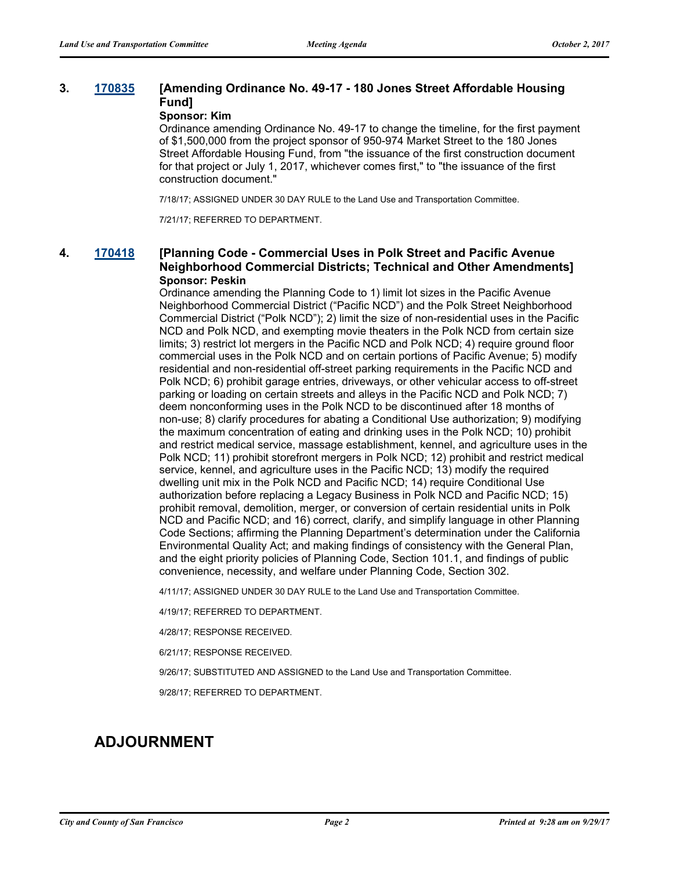#### **3. [170835](http://sfgov.legistar.com/gateway.aspx?m=l&id=32381) [Amending Ordinance No. 49-17 - 180 Jones Street Affordable Housing Fund]**

#### **Sponsor: Kim**

Ordinance amending Ordinance No. 49-17 to change the timeline, for the first payment of \$1,500,000 from the project sponsor of 950-974 Market Street to the 180 Jones Street Affordable Housing Fund, from "the issuance of the first construction document for that project or July 1, 2017, whichever comes first," to "the issuance of the first construction document."

7/18/17; ASSIGNED UNDER 30 DAY RULE to the Land Use and Transportation Committee.

7/21/17; REFERRED TO DEPARTMENT.

#### **4. [170418](http://sfgov.legistar.com/gateway.aspx?m=l&id=31980) [Planning Code - Commercial Uses in Polk Street and Pacific Avenue Neighborhood Commercial Districts; Technical and Other Amendments] Sponsor: Peskin**

Ordinance amending the Planning Code to 1) limit lot sizes in the Pacific Avenue Neighborhood Commercial District ("Pacific NCD") and the Polk Street Neighborhood Commercial District ("Polk NCD"); 2) limit the size of non-residential uses in the Pacific NCD and Polk NCD, and exempting movie theaters in the Polk NCD from certain size limits; 3) restrict lot mergers in the Pacific NCD and Polk NCD; 4) require ground floor commercial uses in the Polk NCD and on certain portions of Pacific Avenue; 5) modify residential and non-residential off-street parking requirements in the Pacific NCD and Polk NCD; 6) prohibit garage entries, driveways, or other vehicular access to off-street parking or loading on certain streets and alleys in the Pacific NCD and Polk NCD; 7) deem nonconforming uses in the Polk NCD to be discontinued after 18 months of non-use; 8) clarify procedures for abating a Conditional Use authorization; 9) modifying the maximum concentration of eating and drinking uses in the Polk NCD; 10) prohibit and restrict medical service, massage establishment, kennel, and agriculture uses in the Polk NCD; 11) prohibit storefront mergers in Polk NCD; 12) prohibit and restrict medical service, kennel, and agriculture uses in the Pacific NCD; 13) modify the required dwelling unit mix in the Polk NCD and Pacific NCD; 14) require Conditional Use authorization before replacing a Legacy Business in Polk NCD and Pacific NCD; 15) prohibit removal, demolition, merger, or conversion of certain residential units in Polk NCD and Pacific NCD; and 16) correct, clarify, and simplify language in other Planning Code Sections; affirming the Planning Department's determination under the California Environmental Quality Act; and making findings of consistency with the General Plan, and the eight priority policies of Planning Code, Section 101.1, and findings of public convenience, necessity, and welfare under Planning Code, Section 302.

4/11/17; ASSIGNED UNDER 30 DAY RULE to the Land Use and Transportation Committee.

4/19/17; REFERRED TO DEPARTMENT.

4/28/17; RESPONSE RECEIVED.

6/21/17; RESPONSE RECEIVED.

9/26/17; SUBSTITUTED AND ASSIGNED to the Land Use and Transportation Committee.

9/28/17; REFERRED TO DEPARTMENT.

# **ADJOURNMENT**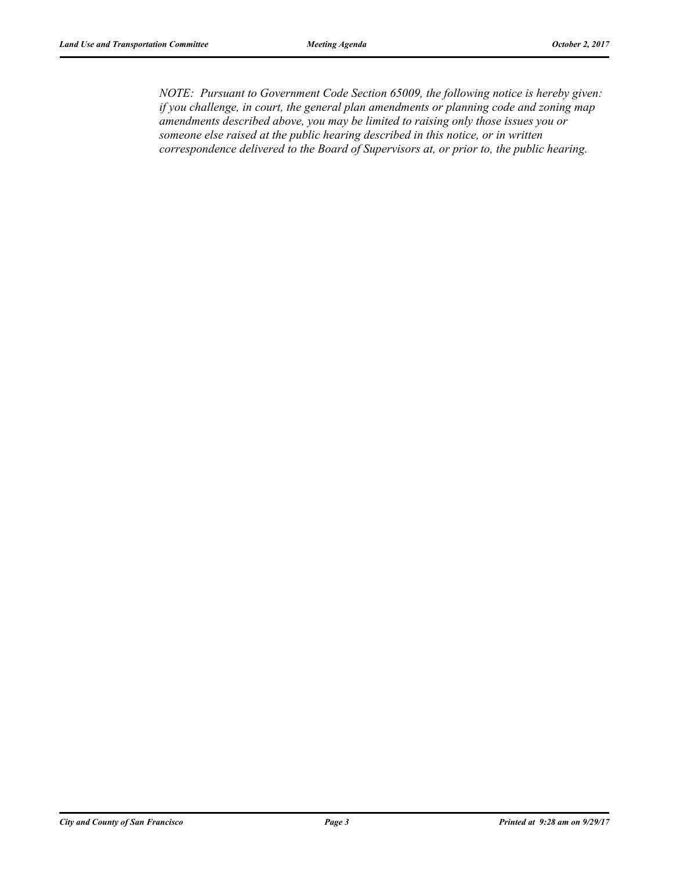*NOTE: Pursuant to Government Code Section 65009, the following notice is hereby given: if you challenge, in court, the general plan amendments or planning code and zoning map amendments described above, you may be limited to raising only those issues you or someone else raised at the public hearing described in this notice, or in written correspondence delivered to the Board of Supervisors at, or prior to, the public hearing.*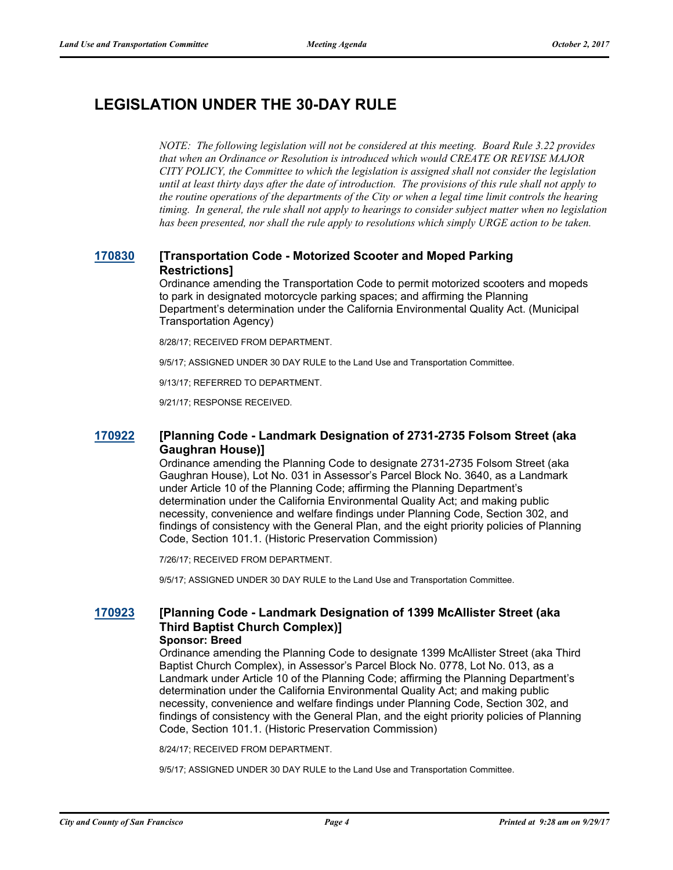# **LEGISLATION UNDER THE 30-DAY RULE**

*NOTE: The following legislation will not be considered at this meeting. Board Rule 3.22 provides that when an Ordinance or Resolution is introduced which would CREATE OR REVISE MAJOR CITY POLICY, the Committee to which the legislation is assigned shall not consider the legislation until at least thirty days after the date of introduction. The provisions of this rule shall not apply to the routine operations of the departments of the City or when a legal time limit controls the hearing timing. In general, the rule shall not apply to hearings to consider subject matter when no legislation has been presented, nor shall the rule apply to resolutions which simply URGE action to be taken.*

### **[170830](http://sfgov.legistar.com/gateway.aspx?m=l&id=32376) [Transportation Code - Motorized Scooter and Moped Parking Restrictions]**

Ordinance amending the Transportation Code to permit motorized scooters and mopeds to park in designated motorcycle parking spaces; and affirming the Planning Department's determination under the California Environmental Quality Act. (Municipal Transportation Agency)

8/28/17; RECEIVED FROM DEPARTMENT.

9/5/17; ASSIGNED UNDER 30 DAY RULE to the Land Use and Transportation Committee.

9/13/17; REFERRED TO DEPARTMENT.

9/21/17; RESPONSE RECEIVED.

#### **[170922](http://sfgov.legistar.com/gateway.aspx?m=l&id=32468) [Planning Code - Landmark Designation of 2731-2735 Folsom Street (aka Gaughran House)]**

Ordinance amending the Planning Code to designate 2731-2735 Folsom Street (aka Gaughran House), Lot No. 031 in Assessor's Parcel Block No. 3640, as a Landmark under Article 10 of the Planning Code; affirming the Planning Department's determination under the California Environmental Quality Act; and making public necessity, convenience and welfare findings under Planning Code, Section 302, and findings of consistency with the General Plan, and the eight priority policies of Planning Code, Section 101.1. (Historic Preservation Commission)

7/26/17; RECEIVED FROM DEPARTMENT.

9/5/17; ASSIGNED UNDER 30 DAY RULE to the Land Use and Transportation Committee.

# **[170923](http://sfgov.legistar.com/gateway.aspx?m=l&id=32469) [Planning Code - Landmark Designation of 1399 McAllister Street (aka Third Baptist Church Complex)]**

#### **Sponsor: Breed**

Ordinance amending the Planning Code to designate 1399 McAllister Street (aka Third Baptist Church Complex), in Assessor's Parcel Block No. 0778, Lot No. 013, as a Landmark under Article 10 of the Planning Code; affirming the Planning Department's determination under the California Environmental Quality Act; and making public necessity, convenience and welfare findings under Planning Code, Section 302, and findings of consistency with the General Plan, and the eight priority policies of Planning Code, Section 101.1. (Historic Preservation Commission)

8/24/17; RECEIVED FROM DEPARTMENT.

9/5/17; ASSIGNED UNDER 30 DAY RULE to the Land Use and Transportation Committee.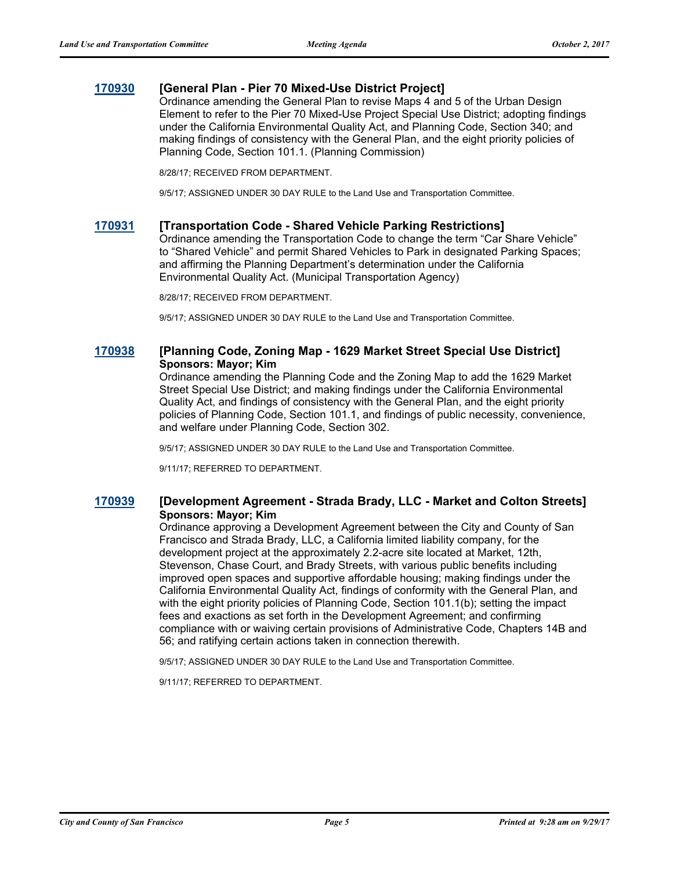#### **[170930](http://sfgov.legistar.com/gateway.aspx?m=l&id=32476) [General Plan - Pier 70 Mixed-Use District Project]**

Ordinance amending the General Plan to revise Maps 4 and 5 of the Urban Design Element to refer to the Pier 70 Mixed-Use Project Special Use District; adopting findings under the California Environmental Quality Act, and Planning Code, Section 340; and making findings of consistency with the General Plan, and the eight priority policies of Planning Code, Section 101.1. (Planning Commission)

8/28/17; RECEIVED FROM DEPARTMENT.

9/5/17; ASSIGNED UNDER 30 DAY RULE to the Land Use and Transportation Committee.

#### **[170931](http://sfgov.legistar.com/gateway.aspx?m=l&id=32477) [Transportation Code - Shared Vehicle Parking Restrictions]**

Ordinance amending the Transportation Code to change the term "Car Share Vehicle" to "Shared Vehicle" and permit Shared Vehicles to Park in designated Parking Spaces; and affirming the Planning Department's determination under the California Environmental Quality Act. (Municipal Transportation Agency)

8/28/17; RECEIVED FROM DEPARTMENT.

9/5/17; ASSIGNED UNDER 30 DAY RULE to the Land Use and Transportation Committee.

#### **[170938](http://sfgov.legistar.com/gateway.aspx?m=l&id=32484) [Planning Code, Zoning Map - 1629 Market Street Special Use District] Sponsors: Mayor; Kim**

Ordinance amending the Planning Code and the Zoning Map to add the 1629 Market Street Special Use District; and making findings under the California Environmental Quality Act, and findings of consistency with the General Plan, and the eight priority policies of Planning Code, Section 101.1, and findings of public necessity, convenience, and welfare under Planning Code, Section 302.

9/5/17; ASSIGNED UNDER 30 DAY RULE to the Land Use and Transportation Committee.

9/11/17; REFERRED TO DEPARTMENT.

#### **[170939](http://sfgov.legistar.com/gateway.aspx?m=l&id=32485) [Development Agreement - Strada Brady, LLC - Market and Colton Streets] Sponsors: Mayor; Kim**

Ordinance approving a Development Agreement between the City and County of San Francisco and Strada Brady, LLC, a California limited liability company, for the development project at the approximately 2.2-acre site located at Market, 12th, Stevenson, Chase Court, and Brady Streets, with various public benefits including improved open spaces and supportive affordable housing; making findings under the California Environmental Quality Act, findings of conformity with the General Plan, and with the eight priority policies of Planning Code, Section 101.1(b); setting the impact fees and exactions as set forth in the Development Agreement; and confirming compliance with or waiving certain provisions of Administrative Code, Chapters 14B and 56; and ratifying certain actions taken in connection therewith.

9/5/17; ASSIGNED UNDER 30 DAY RULE to the Land Use and Transportation Committee.

9/11/17; REFERRED TO DEPARTMENT.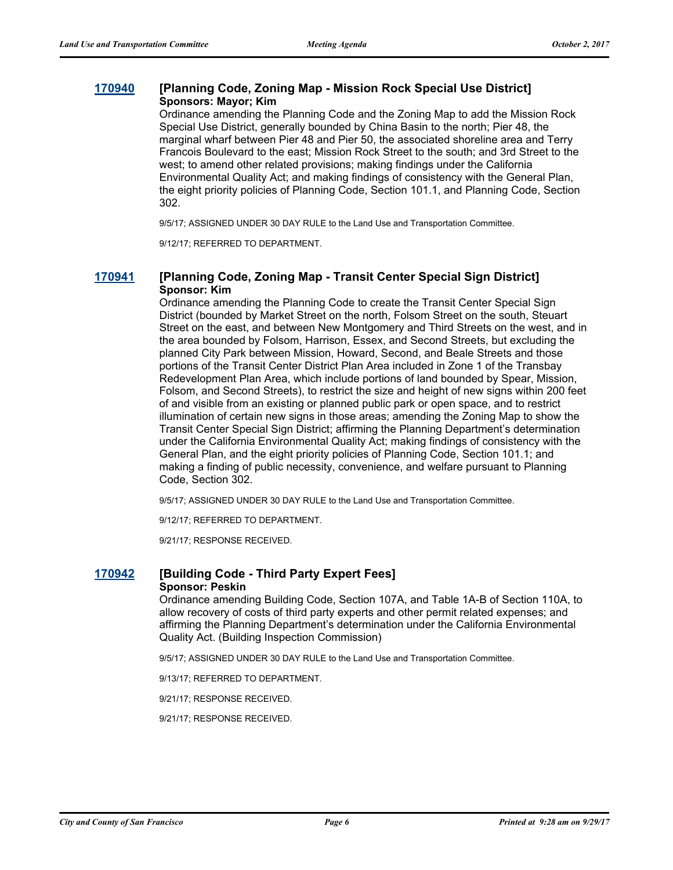#### **[170940](http://sfgov.legistar.com/gateway.aspx?m=l&id=32486) [Planning Code, Zoning Map - Mission Rock Special Use District] Sponsors: Mayor; Kim**

Ordinance amending the Planning Code and the Zoning Map to add the Mission Rock Special Use District, generally bounded by China Basin to the north; Pier 48, the marginal wharf between Pier 48 and Pier 50, the associated shoreline area and Terry Francois Boulevard to the east; Mission Rock Street to the south; and 3rd Street to the west; to amend other related provisions; making findings under the California Environmental Quality Act; and making findings of consistency with the General Plan, the eight priority policies of Planning Code, Section 101.1, and Planning Code, Section 302.

9/5/17; ASSIGNED UNDER 30 DAY RULE to the Land Use and Transportation Committee.

9/12/17; REFERRED TO DEPARTMENT.

#### **[170941](http://sfgov.legistar.com/gateway.aspx?m=l&id=32487) [Planning Code, Zoning Map - Transit Center Special Sign District] Sponsor: Kim**

Ordinance amending the Planning Code to create the Transit Center Special Sign District (bounded by Market Street on the north, Folsom Street on the south, Steuart Street on the east, and between New Montgomery and Third Streets on the west, and in the area bounded by Folsom, Harrison, Essex, and Second Streets, but excluding the planned City Park between Mission, Howard, Second, and Beale Streets and those portions of the Transit Center District Plan Area included in Zone 1 of the Transbay Redevelopment Plan Area, which include portions of land bounded by Spear, Mission, Folsom, and Second Streets), to restrict the size and height of new signs within 200 feet of and visible from an existing or planned public park or open space, and to restrict illumination of certain new signs in those areas; amending the Zoning Map to show the Transit Center Special Sign District; affirming the Planning Department's determination under the California Environmental Quality Act; making findings of consistency with the General Plan, and the eight priority policies of Planning Code, Section 101.1; and making a finding of public necessity, convenience, and welfare pursuant to Planning Code, Section 302.

9/5/17; ASSIGNED UNDER 30 DAY RULE to the Land Use and Transportation Committee.

9/12/17; REFERRED TO DEPARTMENT.

9/21/17; RESPONSE RECEIVED.

#### **[170942](http://sfgov.legistar.com/gateway.aspx?m=l&id=32488) [Building Code - Third Party Expert Fees] Sponsor: Peskin**

Ordinance amending Building Code, Section 107A, and Table 1A-B of Section 110A, to allow recovery of costs of third party experts and other permit related expenses; and affirming the Planning Department's determination under the California Environmental Quality Act. (Building Inspection Commission)

9/5/17; ASSIGNED UNDER 30 DAY RULE to the Land Use and Transportation Committee.

9/13/17; REFERRED TO DEPARTMENT.

9/21/17; RESPONSE RECEIVED.

9/21/17; RESPONSE RECEIVED.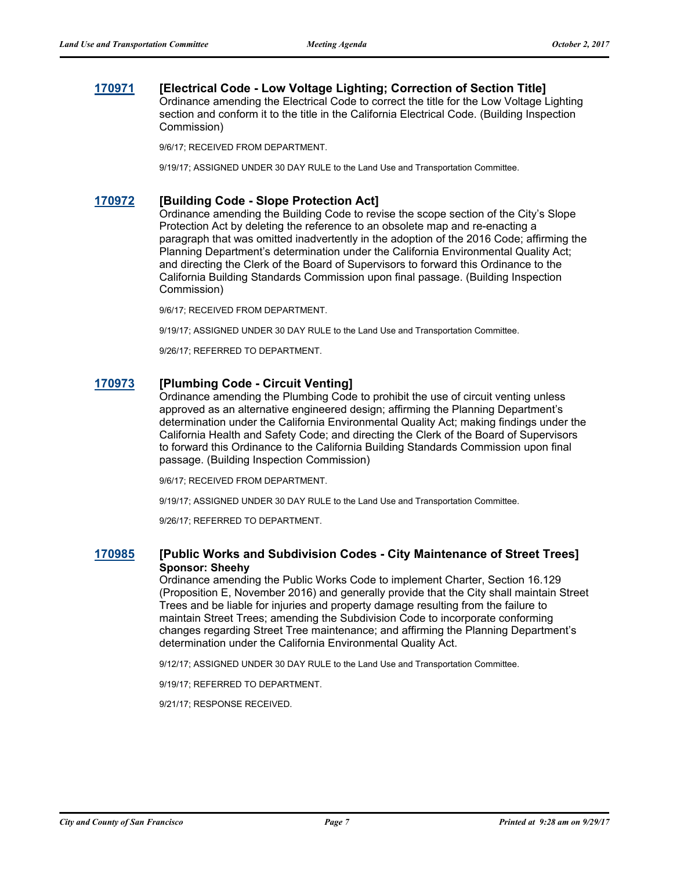### **[170971](http://sfgov.legistar.com/gateway.aspx?m=l&id=32517) [Electrical Code - Low Voltage Lighting; Correction of Section Title]**

Ordinance amending the Electrical Code to correct the title for the Low Voltage Lighting section and conform it to the title in the California Electrical Code. (Building Inspection Commission)

9/6/17; RECEIVED FROM DEPARTMENT.

9/19/17; ASSIGNED UNDER 30 DAY RULE to the Land Use and Transportation Committee.

#### **[170972](http://sfgov.legistar.com/gateway.aspx?m=l&id=32518) [Building Code - Slope Protection Act]**

Ordinance amending the Building Code to revise the scope section of the City's Slope Protection Act by deleting the reference to an obsolete map and re-enacting a paragraph that was omitted inadvertently in the adoption of the 2016 Code; affirming the Planning Department's determination under the California Environmental Quality Act; and directing the Clerk of the Board of Supervisors to forward this Ordinance to the California Building Standards Commission upon final passage. (Building Inspection Commission)

9/6/17; RECEIVED FROM DEPARTMENT.

9/19/17; ASSIGNED UNDER 30 DAY RULE to the Land Use and Transportation Committee.

9/26/17; REFERRED TO DEPARTMENT.

#### **[170973](http://sfgov.legistar.com/gateway.aspx?m=l&id=32519) [Plumbing Code - Circuit Venting]**

Ordinance amending the Plumbing Code to prohibit the use of circuit venting unless approved as an alternative engineered design; affirming the Planning Department's determination under the California Environmental Quality Act; making findings under the California Health and Safety Code; and directing the Clerk of the Board of Supervisors to forward this Ordinance to the California Building Standards Commission upon final passage. (Building Inspection Commission)

9/6/17; RECEIVED FROM DEPARTMENT.

9/19/17; ASSIGNED UNDER 30 DAY RULE to the Land Use and Transportation Committee.

9/26/17; REFERRED TO DEPARTMENT.

#### **[170985](http://sfgov.legistar.com/gateway.aspx?m=l&id=32531) [Public Works and Subdivision Codes - City Maintenance of Street Trees] Sponsor: Sheehy**

Ordinance amending the Public Works Code to implement Charter, Section 16.129 (Proposition E, November 2016) and generally provide that the City shall maintain Street Trees and be liable for injuries and property damage resulting from the failure to maintain Street Trees; amending the Subdivision Code to incorporate conforming changes regarding Street Tree maintenance; and affirming the Planning Department's determination under the California Environmental Quality Act.

9/12/17; ASSIGNED UNDER 30 DAY RULE to the Land Use and Transportation Committee.

9/19/17; REFERRED TO DEPARTMENT.

9/21/17; RESPONSE RECEIVED.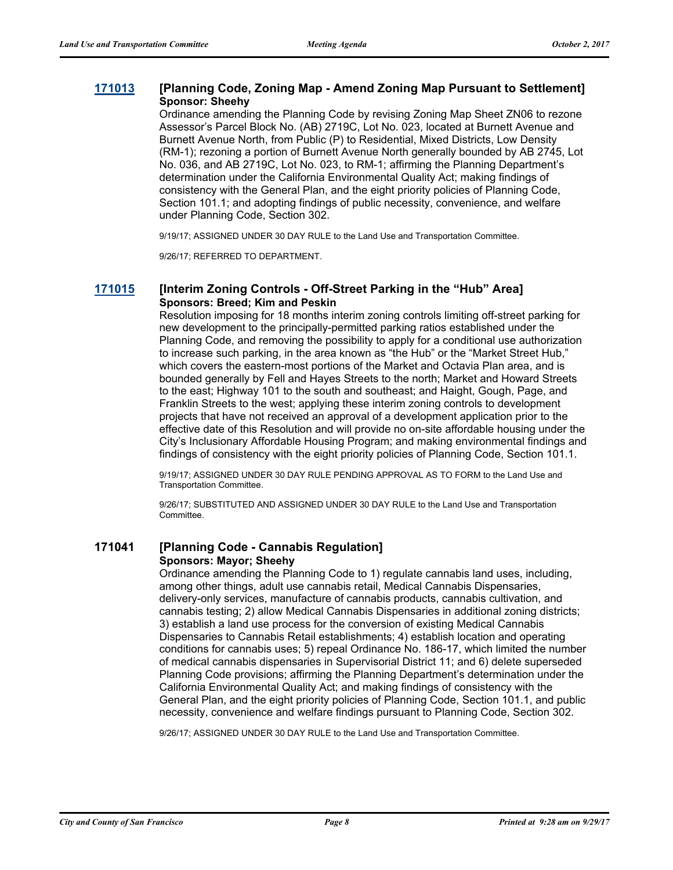#### **[171013](http://sfgov.legistar.com/gateway.aspx?m=l&id=32559) [Planning Code, Zoning Map - Amend Zoning Map Pursuant to Settlement] Sponsor: Sheehy**

Ordinance amending the Planning Code by revising Zoning Map Sheet ZN06 to rezone Assessor's Parcel Block No. (AB) 2719C, Lot No. 023, located at Burnett Avenue and Burnett Avenue North, from Public (P) to Residential, Mixed Districts, Low Density (RM-1); rezoning a portion of Burnett Avenue North generally bounded by AB 2745, Lot No. 036, and AB 2719C, Lot No. 023, to RM-1; affirming the Planning Department's determination under the California Environmental Quality Act; making findings of consistency with the General Plan, and the eight priority policies of Planning Code, Section 101.1; and adopting findings of public necessity, convenience, and welfare under Planning Code, Section 302.

9/19/17; ASSIGNED UNDER 30 DAY RULE to the Land Use and Transportation Committee.

9/26/17; REFERRED TO DEPARTMENT.

#### **[171015](http://sfgov.legistar.com/gateway.aspx?m=l&id=32561) [Interim Zoning Controls - Off-Street Parking in the "Hub" Area] Sponsors: Breed; Kim and Peskin**

Resolution imposing for 18 months interim zoning controls limiting off-street parking for new development to the principally-permitted parking ratios established under the Planning Code, and removing the possibility to apply for a conditional use authorization to increase such parking, in the area known as "the Hub" or the "Market Street Hub," which covers the eastern-most portions of the Market and Octavia Plan area, and is bounded generally by Fell and Hayes Streets to the north; Market and Howard Streets to the east; Highway 101 to the south and southeast; and Haight, Gough, Page, and Franklin Streets to the west; applying these interim zoning controls to development projects that have not received an approval of a development application prior to the effective date of this Resolution and will provide no on-site affordable housing under the City's Inclusionary Affordable Housing Program; and making environmental findings and findings of consistency with the eight priority policies of Planning Code, Section 101.1.

9/19/17; ASSIGNED UNDER 30 DAY RULE PENDING APPROVAL AS TO FORM to the Land Use and Transportation Committee.

9/26/17; SUBSTITUTED AND ASSIGNED UNDER 30 DAY RULE to the Land Use and Transportation Committee.

### **171041 [Planning Code - Cannabis Regulation] Sponsors: Mayor; Sheehy**

Ordinance amending the Planning Code to 1) regulate cannabis land uses, including, among other things, adult use cannabis retail, Medical Cannabis Dispensaries, delivery-only services, manufacture of cannabis products, cannabis cultivation, and cannabis testing; 2) allow Medical Cannabis Dispensaries in additional zoning districts; 3) establish a land use process for the conversion of existing Medical Cannabis Dispensaries to Cannabis Retail establishments; 4) establish location and operating conditions for cannabis uses; 5) repeal Ordinance No. 186-17, which limited the number of medical cannabis dispensaries in Supervisorial District 11; and 6) delete superseded Planning Code provisions; affirming the Planning Department's determination under the California Environmental Quality Act; and making findings of consistency with the General Plan, and the eight priority policies of Planning Code, Section 101.1, and public necessity, convenience and welfare findings pursuant to Planning Code, Section 302.

9/26/17; ASSIGNED UNDER 30 DAY RULE to the Land Use and Transportation Committee.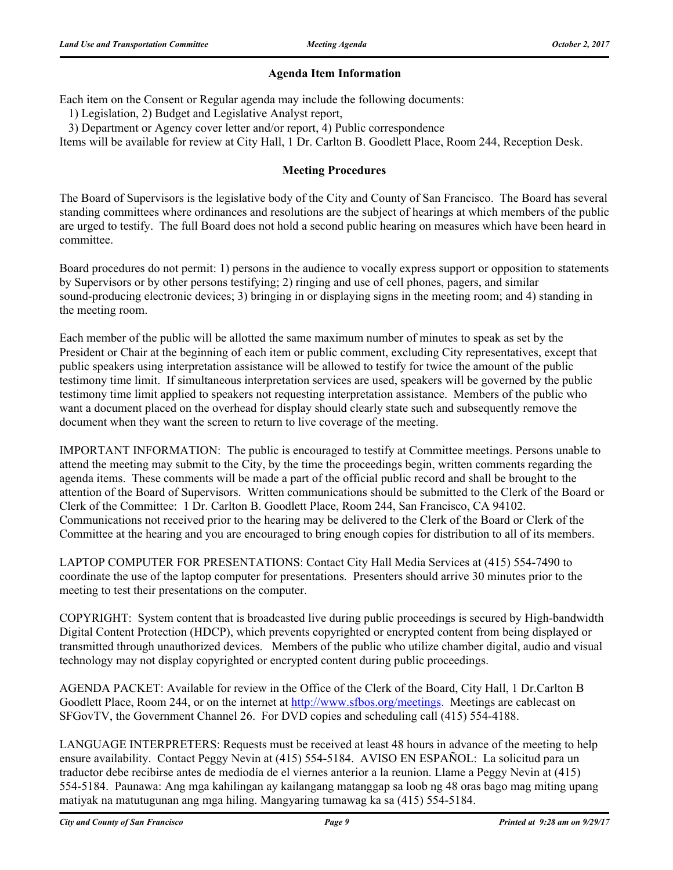### **Agenda Item Information**

Each item on the Consent or Regular agenda may include the following documents:

1) Legislation, 2) Budget and Legislative Analyst report,

3) Department or Agency cover letter and/or report, 4) Public correspondence

Items will be available for review at City Hall, 1 Dr. Carlton B. Goodlett Place, Room 244, Reception Desk.

#### **Meeting Procedures**

The Board of Supervisors is the legislative body of the City and County of San Francisco. The Board has several standing committees where ordinances and resolutions are the subject of hearings at which members of the public are urged to testify. The full Board does not hold a second public hearing on measures which have been heard in committee.

Board procedures do not permit: 1) persons in the audience to vocally express support or opposition to statements by Supervisors or by other persons testifying; 2) ringing and use of cell phones, pagers, and similar sound-producing electronic devices; 3) bringing in or displaying signs in the meeting room; and 4) standing in the meeting room.

Each member of the public will be allotted the same maximum number of minutes to speak as set by the President or Chair at the beginning of each item or public comment, excluding City representatives, except that public speakers using interpretation assistance will be allowed to testify for twice the amount of the public testimony time limit. If simultaneous interpretation services are used, speakers will be governed by the public testimony time limit applied to speakers not requesting interpretation assistance. Members of the public who want a document placed on the overhead for display should clearly state such and subsequently remove the document when they want the screen to return to live coverage of the meeting.

IMPORTANT INFORMATION: The public is encouraged to testify at Committee meetings. Persons unable to attend the meeting may submit to the City, by the time the proceedings begin, written comments regarding the agenda items. These comments will be made a part of the official public record and shall be brought to the attention of the Board of Supervisors. Written communications should be submitted to the Clerk of the Board or Clerk of the Committee: 1 Dr. Carlton B. Goodlett Place, Room 244, San Francisco, CA 94102. Communications not received prior to the hearing may be delivered to the Clerk of the Board or Clerk of the Committee at the hearing and you are encouraged to bring enough copies for distribution to all of its members.

LAPTOP COMPUTER FOR PRESENTATIONS: Contact City Hall Media Services at (415) 554-7490 to coordinate the use of the laptop computer for presentations. Presenters should arrive 30 minutes prior to the meeting to test their presentations on the computer.

COPYRIGHT: System content that is broadcasted live during public proceedings is secured by High-bandwidth Digital Content Protection (HDCP), which prevents copyrighted or encrypted content from being displayed or transmitted through unauthorized devices. Members of the public who utilize chamber digital, audio and visual technology may not display copyrighted or encrypted content during public proceedings.

AGENDA PACKET: Available for review in the Office of the Clerk of the Board, City Hall, 1 Dr.Carlton B Goodlett Place, Room 244, or on the internet at http://www.sfbos.org/meetings. Meetings are cablecast on SFGovTV, the Government Channel 26. For DVD copies and scheduling call (415) 554-4188.

LANGUAGE INTERPRETERS: Requests must be received at least 48 hours in advance of the meeting to help ensure availability. Contact Peggy Nevin at (415) 554-5184. AVISO EN ESPAÑOL: La solicitud para un traductor debe recibirse antes de mediodía de el viernes anterior a la reunion. Llame a Peggy Nevin at (415) 554-5184. Paunawa: Ang mga kahilingan ay kailangang matanggap sa loob ng 48 oras bago mag miting upang matiyak na matutugunan ang mga hiling. Mangyaring tumawag ka sa (415) 554-5184.